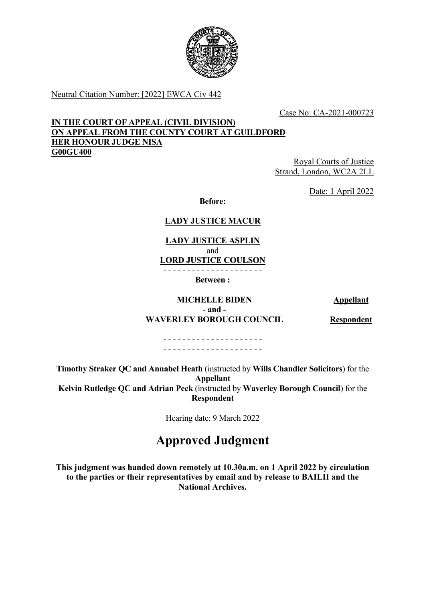

Neutral Citation Number: [2022] EWCA Civ 442

Case No: CA-2021-000723

### **IN THE COURT OF APPEAL (CIVIL DIVISION) ON APPEAL FROM THE COUNTY COURT AT GUILDFORD HER HONOUR JUDGE NISA G00GU400**

Royal Courts of Justice Strand, London, WC2A 2LL

Date: 1 April 2022

**Before:**

## **LADY JUSTICE MACUR**

**LADY JUSTICE ASPLIN** and **LORD JUSTICE COULSON** - - - - - - - - - - - - - - - - - - - - -

**Between :**

**MICHELLE BIDEN Appellant**

**- and - WAVERLEY BOROUGH COUNCIL Respondent**

- - - - - - - - - - - - - - - - - - - - - - - - - - - - - - - - - - - - - - - - - -

**Timothy Straker QC and Annabel Heath** (instructed by **Wills Chandler Solicitors**) for the **Appellant Kelvin Rutledge QC and Adrian Peck** (instructed by **Waverley Borough Council**) for the **Respondent**

Hearing date: 9 March 2022

# **Approved Judgment**

**This judgment was handed down remotely at 10.30a.m. on 1 April 2022 by circulation to the parties or their representatives by email and by release to BAILII and the National Archives.**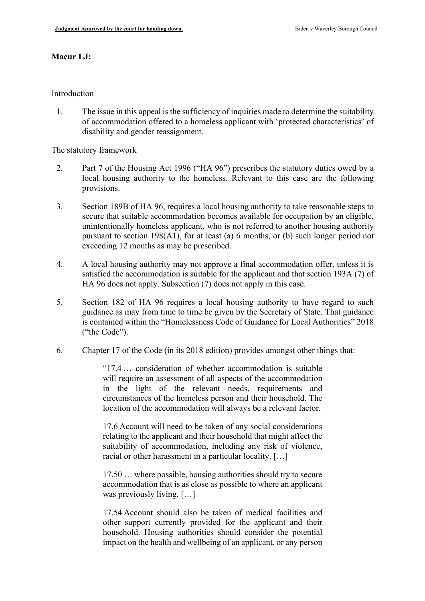#### **Macur LJ:**

#### Introduction

1. The issue in this appeal is the sufficiency of inquiries made to determine the suitability of accommodation offered to a homeless applicant with 'protected characteristics' of disability and gender reassignment.

The statutory framework

- 2. Part 7 of the Housing Act 1996 ("HA 96") prescribes the statutory duties owed by a local housing authority to the homeless. Relevant to this case are the following provisions.
- 3. Section 189B of HA 96, requires a local housing authority to take reasonable steps to secure that suitable accommodation becomes available for occupation by an eligible, unintentionally homeless applicant, who is not referred to another housing authority pursuant to section 198(A1), for at least (a) 6 months, or (b) such longer period not exceeding 12 months as may be prescribed.
- 4. A local housing authority may not approve a final accommodation offer, unless it is satisfied the accommodation is suitable for the applicant and that section 193A (7) of HA 96 does not apply. Subsection (7) does not apply in this case.
- 5. Section 182 of HA 96 requires a local housing authority to have regard to such guidance as may from time to time be given by the Secretary of State. That guidance is contained within the "Homelessness Code of Guidance for Local Authorities" 2018 ("the Code").
- 6. Chapter 17 of the Code (in its 2018 edition) provides amongst other things that:

"17.4 … consideration of whether accommodation is suitable will require an assessment of all aspects of the accommodation in the light of the relevant needs, requirements and circumstances of the homeless person and their household. The location of the accommodation will always be a relevant factor.

17.6 Account will need to be taken of any social considerations relating to the applicant and their household that might affect the suitability of accommodation, including any risk of violence, racial or other harassment in a particular locality. […]

17.50 … where possible, housing authorities should try to secure accommodation that is as close as possible to where an applicant was previously living. […]

17.54 Account should also be taken of medical facilities and other support currently provided for the applicant and their household. Housing authorities should consider the potential impact on the health and wellbeing of an applicant, or any person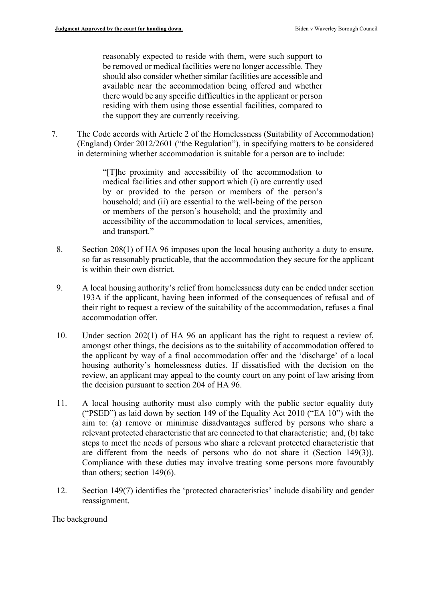reasonably expected to reside with them, were such support to be removed or medical facilities were no longer accessible. They should also consider whether similar facilities are accessible and available near the accommodation being offered and whether there would be any specific difficulties in the applicant or person residing with them using those essential facilities, compared to the support they are currently receiving.

7. The Code accords with Article 2 of the Homelessness (Suitability of Accommodation) (England) Order 2012/2601 ("the Regulation"), in specifying matters to be considered in determining whether accommodation is suitable for a person are to include:

> "[T]he proximity and accessibility of the accommodation to medical facilities and other support which (i) are currently used by or provided to the person or members of the person's household; and (ii) are essential to the well-being of the person or members of the person's household; and the proximity and accessibility of the accommodation to local services, amenities, and transport."

- 8. Section 208(1) of HA 96 imposes upon the local housing authority a duty to ensure, so far as reasonably practicable, that the accommodation they secure for the applicant is within their own district.
- 9. A local housing authority's relief from homelessness duty can be ended under section 193A if the applicant, having been informed of the consequences of refusal and of their right to request a review of the suitability of the accommodation, refuses a final accommodation offer.
- 10. Under section 202(1) of HA 96 an applicant has the right to request a review of, amongst other things, the decisions as to the suitability of accommodation offered to the applicant by way of a final accommodation offer and the 'discharge' of a local housing authority's homelessness duties. If dissatisfied with the decision on the review, an applicant may appeal to the county court on any point of law arising from the decision pursuant to section 204 of HA 96.
- 11. A local housing authority must also comply with the public sector equality duty ("PSED") as laid down by section 149 of the Equality Act 2010 ("EA 10") with the aim to: (a) remove or minimise disadvantages suffered by persons who share a relevant protected characteristic that are connected to that characteristic; and, (b) take steps to meet the needs of persons who share a relevant protected characteristic that are different from the needs of persons who do not share it (Section 149(3)). Compliance with these duties may involve treating some persons more favourably than others; section 149(6).
- 12. Section 149(7) identifies the 'protected characteristics' include disability and gender reassignment.

#### The background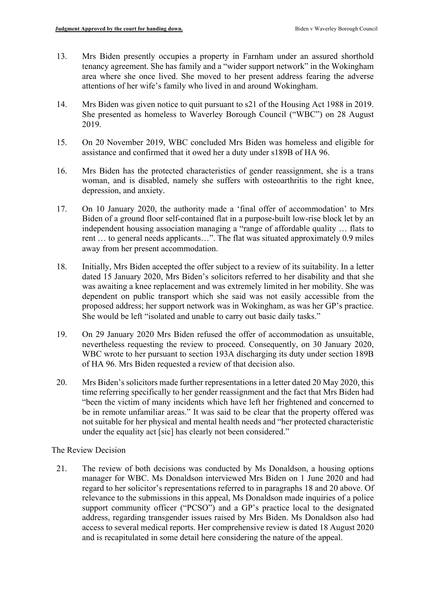- 13. Mrs Biden presently occupies a property in Farnham under an assured shorthold tenancy agreement. She has family and a "wider support network" in the Wokingham area where she once lived. She moved to her present address fearing the adverse attentions of her wife's family who lived in and around Wokingham.
- 14. Mrs Biden was given notice to quit pursuant to s21 of the Housing Act 1988 in 2019. She presented as homeless to Waverley Borough Council ("WBC") on 28 August 2019.
- 15. On 20 November 2019, WBC concluded Mrs Biden was homeless and eligible for assistance and confirmed that it owed her a duty under s189B of HA 96.
- 16. Mrs Biden has the protected characteristics of gender reassignment, she is a trans woman, and is disabled, namely she suffers with osteoarthritis to the right knee, depression, and anxiety.
- 17. On 10 January 2020, the authority made a 'final offer of accommodation' to Mrs Biden of a ground floor self-contained flat in a purpose-built low-rise block let by an independent housing association managing a "range of affordable quality … flats to rent … to general needs applicants…". The flat was situated approximately 0.9 miles away from her present accommodation.
- 18. Initially, Mrs Biden accepted the offer subject to a review of its suitability. In a letter dated 15 January 2020, Mrs Biden's solicitors referred to her disability and that she was awaiting a knee replacement and was extremely limited in her mobility. She was dependent on public transport which she said was not easily accessible from the proposed address; her support network was in Wokingham, as was her GP's practice. She would be left "isolated and unable to carry out basic daily tasks."
- 19. On 29 January 2020 Mrs Biden refused the offer of accommodation as unsuitable, nevertheless requesting the review to proceed. Consequently, on 30 January 2020, WBC wrote to her pursuant to section 193A discharging its duty under section 189B of HA 96. Mrs Biden requested a review of that decision also.
- 20. Mrs Biden's solicitors made further representations in a letter dated 20 May 2020, this time referring specifically to her gender reassignment and the fact that Mrs Biden had "been the victim of many incidents which have left her frightened and concerned to be in remote unfamiliar areas." It was said to be clear that the property offered was not suitable for her physical and mental health needs and "her protected characteristic under the equality act [sic] has clearly not been considered."

#### The Review Decision

21. The review of both decisions was conducted by Ms Donaldson, a housing options manager for WBC. Ms Donaldson interviewed Mrs Biden on 1 June 2020 and had regard to her solicitor's representations referred to in paragraphs 18 and 20 above. Of relevance to the submissions in this appeal, Ms Donaldson made inquiries of a police support community officer ("PCSO") and a GP's practice local to the designated address, regarding transgender issues raised by Mrs Biden. Ms Donaldson also had access to several medical reports. Her comprehensive review is dated 18 August 2020 and is recapitulated in some detail here considering the nature of the appeal.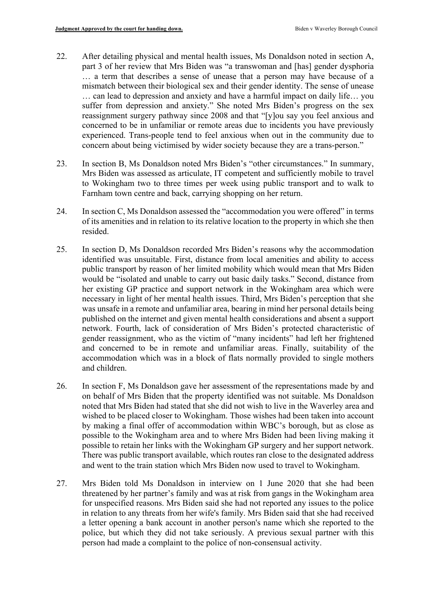- 22. After detailing physical and mental health issues, Ms Donaldson noted in section A, part 3 of her review that Mrs Biden was "a transwoman and [has] gender dysphoria … a term that describes a sense of unease that a person may have because of a mismatch between their biological sex and their gender identity. The sense of unease … can lead to depression and anxiety and have a harmful impact on daily life… you suffer from depression and anxiety." She noted Mrs Biden's progress on the sex reassignment surgery pathway since 2008 and that "[y]ou say you feel anxious and concerned to be in unfamiliar or remote areas due to incidents you have previously experienced. Trans-people tend to feel anxious when out in the community due to concern about being victimised by wider society because they are a trans-person."
- 23. In section B, Ms Donaldson noted Mrs Biden's "other circumstances." In summary, Mrs Biden was assessed as articulate, IT competent and sufficiently mobile to travel to Wokingham two to three times per week using public transport and to walk to Farnham town centre and back, carrying shopping on her return.
- 24. In section C, Ms Donaldson assessed the "accommodation you were offered" in terms of its amenities and in relation to its relative location to the property in which she then resided.
- 25. In section D, Ms Donaldson recorded Mrs Biden's reasons why the accommodation identified was unsuitable. First, distance from local amenities and ability to access public transport by reason of her limited mobility which would mean that Mrs Biden would be "isolated and unable to carry out basic daily tasks." Second, distance from her existing GP practice and support network in the Wokingham area which were necessary in light of her mental health issues. Third, Mrs Biden's perception that she was unsafe in a remote and unfamiliar area, bearing in mind her personal details being published on the internet and given mental health considerations and absent a support network. Fourth, lack of consideration of Mrs Biden's protected characteristic of gender reassignment, who as the victim of "many incidents" had left her frightened and concerned to be in remote and unfamiliar areas. Finally, suitability of the accommodation which was in a block of flats normally provided to single mothers and children.
- 26. In section F, Ms Donaldson gave her assessment of the representations made by and on behalf of Mrs Biden that the property identified was not suitable. Ms Donaldson noted that Mrs Biden had stated that she did not wish to live in the Waverley area and wished to be placed closer to Wokingham. Those wishes had been taken into account by making a final offer of accommodation within WBC's borough, but as close as possible to the Wokingham area and to where Mrs Biden had been living making it possible to retain her links with the Wokingham GP surgery and her support network. There was public transport available, which routes ran close to the designated address and went to the train station which Mrs Biden now used to travel to Wokingham.
- 27. Mrs Biden told Ms Donaldson in interview on 1 June 2020 that she had been threatened by her partner's family and was at risk from gangs in the Wokingham area for unspecified reasons. Mrs Biden said she had not reported any issues to the police in relation to any threats from her wife's family. Mrs Biden said that she had received a letter opening a bank account in another person's name which she reported to the police, but which they did not take seriously. A previous sexual partner with this person had made a complaint to the police of non-consensual activity.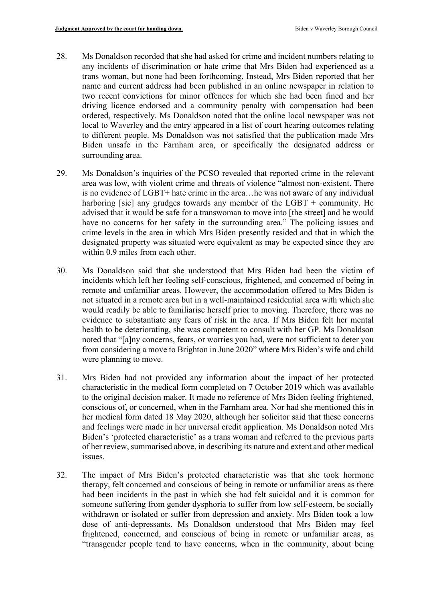- 28. Ms Donaldson recorded that she had asked for crime and incident numbers relating to any incidents of discrimination or hate crime that Mrs Biden had experienced as a trans woman, but none had been forthcoming. Instead, Mrs Biden reported that her name and current address had been published in an online newspaper in relation to two recent convictions for minor offences for which she had been fined and her driving licence endorsed and a community penalty with compensation had been ordered, respectively. Ms Donaldson noted that the online local newspaper was not local to Waverley and the entry appeared in a list of court hearing outcomes relating to different people. Ms Donaldson was not satisfied that the publication made Mrs Biden unsafe in the Farnham area, or specifically the designated address or surrounding area.
- 29. Ms Donaldson's inquiries of the PCSO revealed that reported crime in the relevant area was low, with violent crime and threats of violence "almost non-existent. There is no evidence of LGBT+ hate crime in the area…he was not aware of any individual harboring [sic] any grudges towards any member of the  $LGBT +$  community. He advised that it would be safe for a transwoman to move into [the street] and he would have no concerns for her safety in the surrounding area." The policing issues and crime levels in the area in which Mrs Biden presently resided and that in which the designated property was situated were equivalent as may be expected since they are within 0.9 miles from each other.
- 30. Ms Donaldson said that she understood that Mrs Biden had been the victim of incidents which left her feeling self-conscious, frightened, and concerned of being in remote and unfamiliar areas. However, the accommodation offered to Mrs Biden is not situated in a remote area but in a well-maintained residential area with which she would readily be able to familiarise herself prior to moving. Therefore, there was no evidence to substantiate any fears of risk in the area. If Mrs Biden felt her mental health to be deteriorating, she was competent to consult with her GP. Ms Donaldson noted that "[a]ny concerns, fears, or worries you had, were not sufficient to deter you from considering a move to Brighton in June 2020" where Mrs Biden's wife and child were planning to move.
- 31. Mrs Biden had not provided any information about the impact of her protected characteristic in the medical form completed on 7 October 2019 which was available to the original decision maker. It made no reference of Mrs Biden feeling frightened, conscious of, or concerned, when in the Farnham area. Nor had she mentioned this in her medical form dated 18 May 2020, although her solicitor said that these concerns and feelings were made in her universal credit application. Ms Donaldson noted Mrs Biden's 'protected characteristic' as a trans woman and referred to the previous parts of her review, summarised above, in describing its nature and extent and other medical issues.
- 32. The impact of Mrs Biden's protected characteristic was that she took hormone therapy, felt concerned and conscious of being in remote or unfamiliar areas as there had been incidents in the past in which she had felt suicidal and it is common for someone suffering from gender dysphoria to suffer from low self-esteem, be socially withdrawn or isolated or suffer from depression and anxiety. Mrs Biden took a low dose of anti-depressants. Ms Donaldson understood that Mrs Biden may feel frightened, concerned, and conscious of being in remote or unfamiliar areas, as "transgender people tend to have concerns, when in the community, about being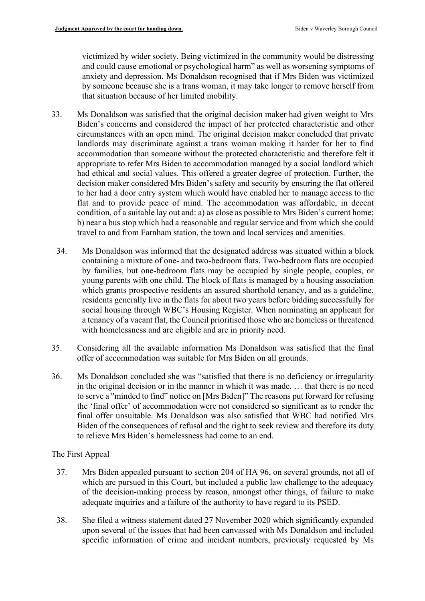victimized by wider society. Being victimized in the community would be distressing and could cause emotional or psychological harm" as well as worsening symptoms of anxiety and depression. Ms Donaldson recognised that if Mrs Biden was victimized by someone because she is a trans woman, it may take longer to remove herself from that situation because of her limited mobility.

- 33. Ms Donaldson was satisfied that the original decision maker had given weight to Mrs Biden's concerns and considered the impact of her protected characteristic and other circumstances with an open mind. The original decision maker concluded that private landlords may discriminate against a trans woman making it harder for her to find accommodation than someone without the protected characteristic and therefore felt it appropriate to refer Mrs Biden to accommodation managed by a social landlord which had ethical and social values. This offered a greater degree of protection. Further, the decision maker considered Mrs Biden's safety and security by ensuring the flat offered to her had a door entry system which would have enabled her to manage access to the flat and to provide peace of mind. The accommodation was affordable, in decent condition, of a suitable lay out and: a) as close as possible to Mrs Biden's current home; b) near a bus stop which had a reasonable and regular service and from which she could travel to and from Farnham station, the town and local services and amenities.
	- 34. Ms Donaldson was informed that the designated address was situated within a block containing a mixture of one- and two-bedroom flats. Two-bedroom flats are occupied by families, but one-bedroom flats may be occupied by single people, couples, or young parents with one child. The block of flats is managed by a housing association which grants prospective residents an assured shorthold tenancy, and as a guideline, residents generally live in the flats for about two years before bidding successfully for social housing through WBC's Housing Register. When nominating an applicant for a tenancy of a vacant flat, the Council prioritised those who are homeless or threatened with homelessness and are eligible and are in priority need.
- 35. Considering all the available information Ms Donaldson was satisfied that the final offer of accommodation was suitable for Mrs Biden on all grounds.
- 36. Ms Donaldson concluded she was "satisfied that there is no deficiency or irregularity in the original decision or in the manner in which it was made. … that there is no need to serve a "minded to find" notice on [Mrs Biden]" The reasons put forward for refusing the 'final offer' of accommodation were not considered so significant as to render the final offer unsuitable. Ms Donaldson was also satisfied that WBC had notified Mrs Biden of the consequences of refusal and the right to seek review and therefore its duty to relieve Mrs Biden's homelessness had come to an end.

The First Appeal

- 37. Mrs Biden appealed pursuant to section 204 of HA 96, on several grounds, not all of which are pursued in this Court, but included a public law challenge to the adequacy of the decision-making process by reason, amongst other things, of failure to make adequate inquiries and a failure of the authority to have regard to its PSED.
- 38. She filed a witness statement dated 27 November 2020 which significantly expanded upon several of the issues that had been canvassed with Ms Donaldson and included specific information of crime and incident numbers, previously requested by Ms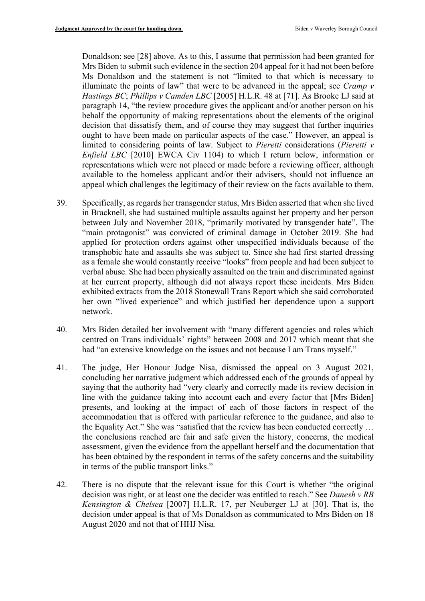Donaldson; see [28] above. As to this, I assume that permission had been granted for Mrs Biden to submit such evidence in the section 204 appeal for it had not been before Ms Donaldson and the statement is not "limited to that which is necessary to illuminate the points of law" that were to be advanced in the appeal; see *Cramp v Hastings BC*; *Phillips v Camden LBC* [2005] H.L.R. 48 at [71]. As Brooke LJ said at paragraph 14, "the review procedure gives the applicant and/or another person on his behalf the opportunity of making representations about the elements of the original decision that dissatisfy them, and of course they may suggest that further inquiries ought to have been made on particular aspects of the case." However, an appeal is limited to considering points of law. Subject to *Pieretti* considerations (*Pieretti v Enfield LBC* [2010] EWCA Civ 1104) to which I return below, information or representations which were not placed or made before a reviewing officer, although available to the homeless applicant and/or their advisers, should not influence an appeal which challenges the legitimacy of their review on the facts available to them.

- 39. Specifically, as regards her transgender status, Mrs Biden asserted that when she lived in Bracknell, she had sustained multiple assaults against her property and her person between July and November 2018, "primarily motivated by transgender hate". The "main protagonist" was convicted of criminal damage in October 2019. She had applied for protection orders against other unspecified individuals because of the transphobic hate and assaults she was subject to. Since she had first started dressing as a female she would constantly receive "looks" from people and had been subject to verbal abuse. She had been physically assaulted on the train and discriminated against at her current property, although did not always report these incidents. Mrs Biden exhibited extracts from the 2018 Stonewall Trans Report which she said corroborated her own "lived experience" and which justified her dependence upon a support network.
- 40. Mrs Biden detailed her involvement with "many different agencies and roles which centred on Trans individuals' rights" between 2008 and 2017 which meant that she had "an extensive knowledge on the issues and not because I am Trans myself."
- 41. The judge, Her Honour Judge Nisa, dismissed the appeal on 3 August 2021, concluding her narrative judgment which addressed each of the grounds of appeal by saying that the authority had "very clearly and correctly made its review decision in line with the guidance taking into account each and every factor that [Mrs Biden] presents, and looking at the impact of each of those factors in respect of the accommodation that is offered with particular reference to the guidance, and also to the Equality Act." She was "satisfied that the review has been conducted correctly … the conclusions reached are fair and safe given the history, concerns, the medical assessment, given the evidence from the appellant herself and the documentation that has been obtained by the respondent in terms of the safety concerns and the suitability in terms of the public transport links."
- 42. There is no dispute that the relevant issue for this Court is whether "the original decision was right, or at least one the decider was entitled to reach." See *Danesh v RB Kensington & Chelsea* [2007] H.L.R. 17, per Neuberger LJ at [30]. That is, the decision under appeal is that of Ms Donaldson as communicated to Mrs Biden on 18 August 2020 and not that of HHJ Nisa.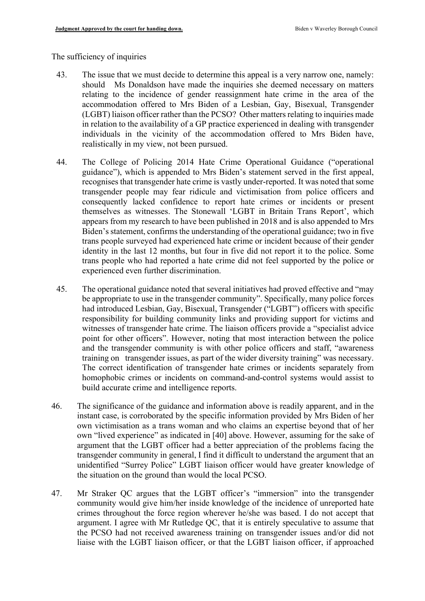#### The sufficiency of inquiries

- 43. The issue that we must decide to determine this appeal is a very narrow one, namely: should Ms Donaldson have made the inquiries she deemed necessary on matters relating to the incidence of gender reassignment hate crime in the area of the accommodation offered to Mrs Biden of a Lesbian, Gay, Bisexual, Transgender (LGBT) liaison officer rather than the PCSO? Other matters relating to inquiries made in relation to the availability of a GP practice experienced in dealing with transgender individuals in the vicinity of the accommodation offered to Mrs Biden have, realistically in my view, not been pursued.
- 44. The College of Policing 2014 Hate Crime Operational Guidance ("operational guidance"), which is appended to Mrs Biden's statement served in the first appeal, recognises that transgender hate crime is vastly under-reported. It was noted that some transgender people may fear ridicule and victimisation from police officers and consequently lacked confidence to report hate crimes or incidents or present themselves as witnesses. The Stonewall 'LGBT in Britain Trans Report', which appears from my research to have been published in 2018 and is also appended to Mrs Biden's statement, confirms the understanding of the operational guidance; two in five trans people surveyed had experienced hate crime or incident because of their gender identity in the last 12 months, but four in five did not report it to the police. Some trans people who had reported a hate crime did not feel supported by the police or experienced even further discrimination.
- 45. The operational guidance noted that several initiatives had proved effective and "may be appropriate to use in the transgender community". Specifically, many police forces had introduced Lesbian, Gay, Bisexual, Transgender ("LGBT") officers with specific responsibility for building community links and providing support for victims and witnesses of transgender hate crime. The liaison officers provide a "specialist advice point for other officers". However, noting that most interaction between the police and the transgender community is with other police officers and staff, "awareness training on transgender issues, as part of the wider diversity training" was necessary. The correct identification of transgender hate crimes or incidents separately from homophobic crimes or incidents on command-and-control systems would assist to build accurate crime and intelligence reports.
- 46. The significance of the guidance and information above is readily apparent, and in the instant case, is corroborated by the specific information provided by Mrs Biden of her own victimisation as a trans woman and who claims an expertise beyond that of her own "lived experience" as indicated in [40] above. However, assuming for the sake of argument that the LGBT officer had a better appreciation of the problems facing the transgender community in general, I find it difficult to understand the argument that an unidentified "Surrey Police" LGBT liaison officer would have greater knowledge of the situation on the ground than would the local PCSO.
- 47. Mr Straker QC argues that the LGBT officer's "immersion" into the transgender community would give him/her inside knowledge of the incidence of unreported hate crimes throughout the force region wherever he/she was based. I do not accept that argument. I agree with Mr Rutledge QC, that it is entirely speculative to assume that the PCSO had not received awareness training on transgender issues and/or did not liaise with the LGBT liaison officer, or that the LGBT liaison officer, if approached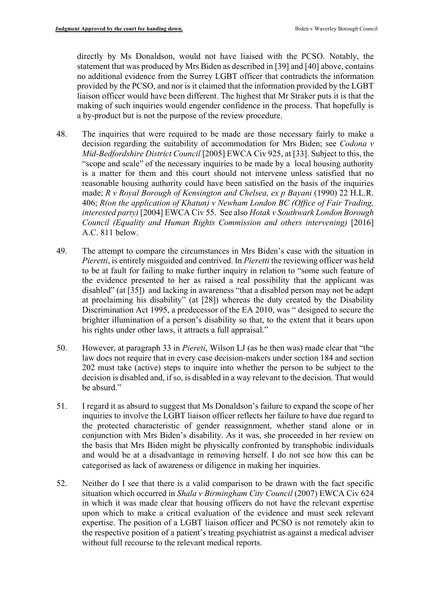directly by Ms Donaldson, would not have liaised with the PCSO. Notably, the statement that was produced by Mrs Biden as described in [39] and [40] above, contains no additional evidence from the Surrey LGBT officer that contradicts the information provided by the PCSO, and nor is it claimed that the information provided by the LGBT liaison officer would have been different. The highest that Mr Straker puts it is that the making of such inquiries would engender confidence in the process. That hopefully is a by-product but is not the purpose of the review procedure.

- 48. The inquiries that were required to be made are those necessary fairly to make a decision regarding the suitability of accommodation for Mrs Biden; see *Codona v Mid-Bedfordshire District Council* [2005] EWCA Civ 925, at [33]. Subject to this, the "scope and scale" of the necessary inquiries to be made by a local housing authority is a matter for them and this court should not intervene unless satisfied that no reasonable housing authority could have been satisfied on the basis of the inquiries made; *R v Royal Borough of Kensington and Chelsea, ex p Bayani* (1990) 22 H.L.R. 406; *R(on the application of Khatun) v Newham London BC (Office of Fair Trading, interested party)* [2004] EWCA Civ 55. See also *Hotak v Southwark London Borough Council (Equality and Human Rights Commission and others intervening)* [2016] A.C. 811 below.
- 49. The attempt to compare the circumstances in Mrs Biden's case with the situation in *Pieretti*, is entirely misguided and contrived. In *Pieretti* the reviewing officer was held to be at fault for failing to make further inquiry in relation to "some such feature of the evidence presented to her as raised a real possibility that the applicant was disabled" (at [35]) and lacking in awareness "that a disabled person may not be adept at proclaiming his disability" (at [28]) whereas the duty created by the Disability Discrimination Act 1995, a predecessor of the EA 2010, was " designed to secure the brighter illumination of a person's disability so that, to the extent that it bears upon his rights under other laws, it attracts a full appraisal."
- 50. However, at paragraph 33 in *Piereti*, Wilson LJ (as he then was) made clear that "the law does not require that in every case decision-makers under section 184 and section 202 must take (active) steps to inquire into whether the person to be subject to the decision is disabled and, if so, is disabled in a way relevant to the decision. That would be absurd."
- 51. I regard it as absurd to suggest that Ms Donaldson's failure to expand the scope of her inquiries to involve the LGBT liaison officer reflects her failure to have due regard to the protected characteristic of gender reassignment, whether stand alone or in conjunction with Mrs Biden's disability. As it was, she proceeded in her review on the basis that Mrs Biden might be physically confronted by transphobic individuals and would be at a disadvantage in removing herself. I do not see how this can be categorised as lack of awareness or diligence in making her inquiries.
- 52. Neither do I see that there is a valid comparison to be drawn with the fact specific situation which occurred in *Shala v Birmingham City Council* (2007) EWCA Civ 624 in which it was made clear that housing officers do not have the relevant expertise upon which to make a critical evaluation of the evidence and must seek relevant expertise. The position of a LGBT liaison officer and PCSO is not remotely akin to the respective position of a patient's treating psychiatrist as against a medical adviser without full recourse to the relevant medical reports.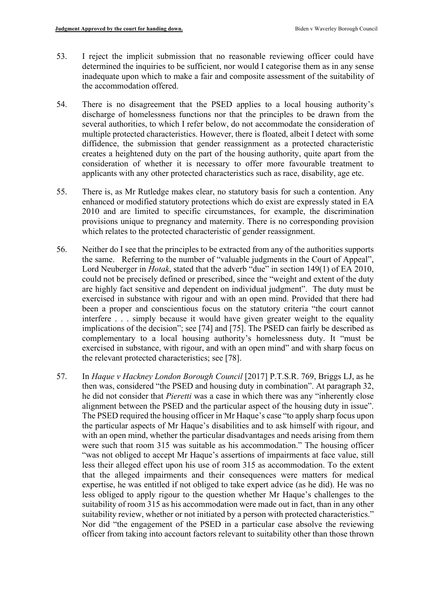- 53. I reject the implicit submission that no reasonable reviewing officer could have determined the inquiries to be sufficient, nor would I categorise them as in any sense inadequate upon which to make a fair and composite assessment of the suitability of the accommodation offered.
- 54. There is no disagreement that the PSED applies to a local housing authority's discharge of homelessness functions nor that the principles to be drawn from the several authorities, to which I refer below, do not accommodate the consideration of multiple protected characteristics. However, there is floated, albeit I detect with some diffidence, the submission that gender reassignment as a protected characteristic creates a heightened duty on the part of the housing authority, quite apart from the consideration of whether it is necessary to offer more favourable treatment to applicants with any other protected characteristics such as race, disability, age etc.
- 55. There is, as Mr Rutledge makes clear, no statutory basis for such a contention. Any enhanced or modified statutory protections which do exist are expressly stated in EA 2010 and are limited to specific circumstances, for example, the discrimination provisions unique to pregnancy and maternity. There is no corresponding provision which relates to the protected characteristic of gender reassignment.
- 56. Neither do I see that the principles to be extracted from any of the authorities supports the same. Referring to the number of "valuable judgments in the Court of Appeal", Lord Neuberger in *Hotak*, stated that the adverb "due" in section 149(1) of EA 2010, could not be precisely defined or prescribed, since the "weight and extent of the duty are highly fact sensitive and dependent on individual judgment". The duty must be exercised in substance with rigour and with an open mind. Provided that there had been a proper and conscientious focus on the statutory criteria "the court cannot interfere . . . simply because it would have given greater weight to the equality implications of the decision"; see [74] and [75]. The PSED can fairly be described as complementary to a local housing authority's homelessness duty. It "must be exercised in substance, with rigour, and with an open mind" and with sharp focus on the relevant protected characteristics; see [78].
- 57. In *Haque v Hackney London Borough Council* [2017] P.T.S.R. 769, Briggs LJ, as he then was, considered "the PSED and housing duty in combination". At paragraph 32, he did not consider that *Pieretti* was a case in which there was any "inherently close alignment between the PSED and the particular aspect of the housing duty in issue". The PSED required the housing officer in Mr Haque's case "to apply sharp focus upon the particular aspects of Mr Haque's disabilities and to ask himself with rigour, and with an open mind, whether the particular disadvantages and needs arising from them were such that room 315 was suitable as his accommodation." The housing officer "was not obliged to accept Mr Haque's assertions of impairments at face value, still less their alleged effect upon his use of room 315 as accommodation. To the extent that the alleged impairments and their consequences were matters for medical expertise, he was entitled if not obliged to take expert advice (as he did). He was no less obliged to apply rigour to the question whether Mr Haque's challenges to the suitability of room 315 as his accommodation were made out in fact, than in any other suitability review, whether or not initiated by a person with protected characteristics." Nor did "the engagement of the PSED in a particular case absolve the reviewing officer from taking into account factors relevant to suitability other than those thrown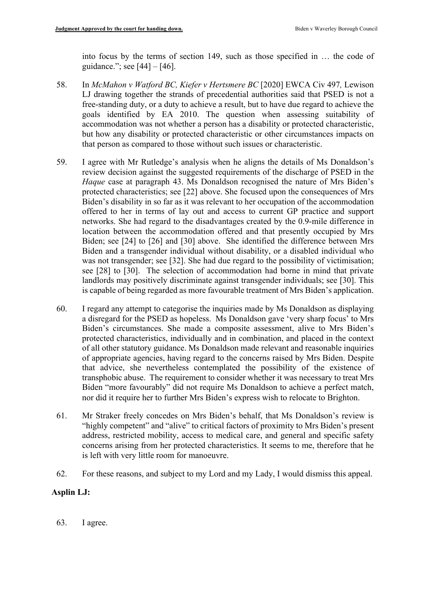into focus by the terms of section 149, such as those specified in … the code of guidance."; see [44] – [46].

- 58. In *McMahon v Watford BC, Kiefer v Hertsmere BC* [2020] EWCA Civ 497*,* Lewison LJ drawing together the strands of precedential authorities said that PSED is not a free-standing duty, or a duty to achieve a result, but to have due regard to achieve the goals identified by EA 2010. The question when assessing suitability of accommodation was not whether a person has a disability or protected characteristic, but how any disability or protected characteristic or other circumstances impacts on that person as compared to those without such issues or characteristic.
- 59. I agree with Mr Rutledge's analysis when he aligns the details of Ms Donaldson's review decision against the suggested requirements of the discharge of PSED in the *Haque* case at paragraph 43. Ms Donaldson recognised the nature of Mrs Biden's protected characteristics; see [22] above. She focused upon the consequences of Mrs Biden's disability in so far as it was relevant to her occupation of the accommodation offered to her in terms of lay out and access to current GP practice and support networks. She had regard to the disadvantages created by the 0.9-mile difference in location between the accommodation offered and that presently occupied by Mrs Biden; see [24] to [26] and [30] above. She identified the difference between Mrs Biden and a transgender individual without disability, or a disabled individual who was not transgender; see [32]. She had due regard to the possibility of victimisation; see [28] to [30]. The selection of accommodation had borne in mind that private landlords may positively discriminate against transgender individuals; see [30]. This is capable of being regarded as more favourable treatment of Mrs Biden's application.
- 60. I regard any attempt to categorise the inquiries made by Ms Donaldson as displaying a disregard for the PSED as hopeless. Ms Donaldson gave 'very sharp focus' to Mrs Biden's circumstances. She made a composite assessment, alive to Mrs Biden's protected characteristics, individually and in combination, and placed in the context of all other statutory guidance. Ms Donaldson made relevant and reasonable inquiries of appropriate agencies, having regard to the concerns raised by Mrs Biden. Despite that advice, she nevertheless contemplated the possibility of the existence of transphobic abuse. The requirement to consider whether it was necessary to treat Mrs Biden "more favourably" did not require Ms Donaldson to achieve a perfect match, nor did it require her to further Mrs Biden's express wish to relocate to Brighton.
- 61. Mr Straker freely concedes on Mrs Biden's behalf, that Ms Donaldson's review is "highly competent" and "alive" to critical factors of proximity to Mrs Biden's present address, restricted mobility, access to medical care, and general and specific safety concerns arising from her protected characteristics. It seems to me, therefore that he is left with very little room for manoeuvre.
- 62. For these reasons, and subject to my Lord and my Lady, I would dismiss this appeal.

## **Asplin LJ:**

63. I agree.